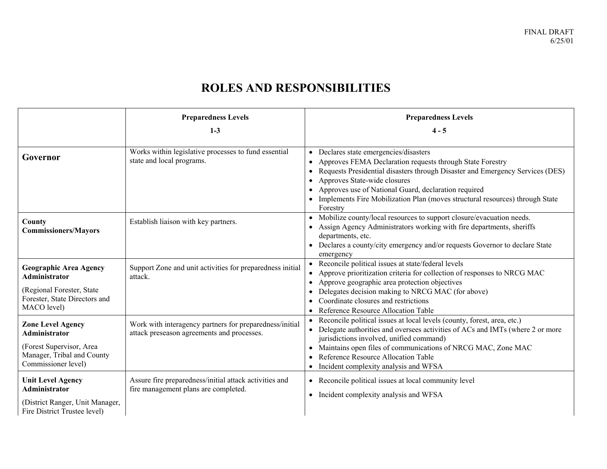## **ROLES AND RESPONSIBILITIES**

|                                                                                                                                    | <b>Preparedness Levels</b>                                                                            | <b>Preparedness Levels</b>                                                                                                                                                                                                                                                                                                                                                          |
|------------------------------------------------------------------------------------------------------------------------------------|-------------------------------------------------------------------------------------------------------|-------------------------------------------------------------------------------------------------------------------------------------------------------------------------------------------------------------------------------------------------------------------------------------------------------------------------------------------------------------------------------------|
|                                                                                                                                    | $1 - 3$                                                                                               | $4 - 5$                                                                                                                                                                                                                                                                                                                                                                             |
| Governor                                                                                                                           | Works within legislative processes to fund essential<br>state and local programs.                     | Declares state emergencies/disasters<br>$\bullet$<br>Approves FEMA Declaration requests through State Forestry<br>Requests Presidential disasters through Disaster and Emergency Services (DES)<br>Approves State-wide closures<br>Approves use of National Guard, declaration required<br>Implements Fire Mobilization Plan (moves structural resources) through State<br>Forestry |
| County<br><b>Commissioners/Mayors</b>                                                                                              | Establish liaison with key partners.                                                                  | Mobilize county/local resources to support closure/evacuation needs.<br>$\bullet$<br>Assign Agency Administrators working with fire departments, sheriffs<br>departments, etc.<br>Declares a county/city emergency and/or requests Governor to declare State<br>emergency                                                                                                           |
| <b>Geographic Area Agency</b><br><b>Administrator</b><br>(Regional Forester, State<br>Forester, State Directors and<br>MACO level) | Support Zone and unit activities for preparedness initial<br>attack.                                  | Reconcile political issues at state/federal levels<br>Approve prioritization criteria for collection of responses to NRCG MAC<br>Approve geographic area protection objectives<br>$\bullet$<br>Delegates decision making to NRCG MAC (for above)<br>٠<br>Coordinate closures and restrictions<br>Reference Resource Allocation Table                                                |
| <b>Zone Level Agency</b><br>Administrator<br>(Forest Supervisor, Area<br>Manager, Tribal and County<br>Commissioner level)         | Work with interagency partners for preparedness/initial<br>attack preseason agreements and processes. | Reconcile political issues at local levels (county, forest, area, etc.)<br>Delegate authorities and oversees activities of ACs and IMTs (where 2 or more<br>jurisdictions involved, unified command)<br>Maintains open files of communications of NRCG MAC, Zone MAC<br>$\bullet$<br>Reference Resource Allocation Table<br>• Incident complexity analysis and WFSA                 |
| <b>Unit Level Agency</b><br>Administrator<br>(District Ranger, Unit Manager,<br>Fire District Trustee level)                       | Assure fire preparedness/initial attack activities and<br>fire management plans are completed.        | • Reconcile political issues at local community level<br>Incident complexity analysis and WFSA<br>$\bullet$                                                                                                                                                                                                                                                                         |